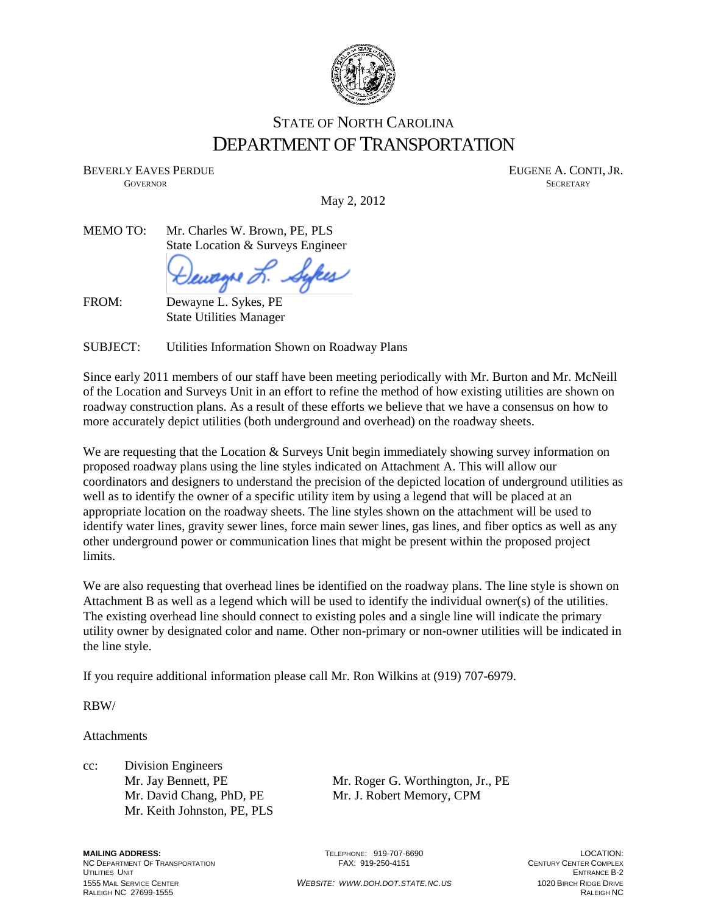

## STATE OF NORTH CAROLINA DEPARTMENT OF TRANSPORTATION

BEVERLY EAVES PERDUE THE SERVER OF THE SERVER AND THE SERVER AND THE SERVER AND THE SERVER ASSESSED. GOVERNOR SECRETARY SECRETARY SECRETARY SECRETARY SECRETARY SECRETARY SECRETARY SECRETARY

May 2, 2012

MEMO TO: Mr. Charles W. Brown, PE, PLS State Location & Surveys Engineer

Sykes eu<del>ag</del>ne *d* 

FROM: Dewayne L. Sykes, PE

State Utilities Manager

SUBJECT: Utilities Information Shown on Roadway Plans

Since early 2011 members of our staff have been meeting periodically with Mr. Burton and Mr. McNeill of the Location and Surveys Unit in an effort to refine the method of how existing utilities are shown on roadway construction plans. As a result of these efforts we believe that we have a consensus on how to more accurately depict utilities (both underground and overhead) on the roadway sheets.

We are requesting that the Location & Surveys Unit begin immediately showing survey information on proposed roadway plans using the line styles indicated on Attachment A. This will allow our coordinators and designers to understand the precision of the depicted location of underground utilities as well as to identify the owner of a specific utility item by using a legend that will be placed at an appropriate location on the roadway sheets. The line styles shown on the attachment will be used to identify water lines, gravity sewer lines, force main sewer lines, gas lines, and fiber optics as well as any other underground power or communication lines that might be present within the proposed project limits.

We are also requesting that overhead lines be identified on the roadway plans. The line style is shown on Attachment B as well as a legend which will be used to identify the individual owner(s) of the utilities. The existing overhead line should connect to existing poles and a single line will indicate the primary utility owner by designated color and name. Other non-primary or non-owner utilities will be indicated in the line style.

If you require additional information please call Mr. Ron Wilkins at (919) 707-6979.

RBW/

Attachments

cc: Division Engineers Mr. Keith Johnston, PE, PLS

Mr. Jay Bennett, PE Mr. Roger G. Worthington, Jr., PE Mr. David Chang, PhD, PE Mr. J. Robert Memory, CPM

**MAILING ADDRESS: COLLER ADDRESS:** TELEPHONE: 919-707-6690 **LOCATION:** PELEPHONE: 919-707-6690 **LOCATION:** PENTURY CENTURY CENTER COMPLEX NC DEPARTMENT OF TRANSPORTATION FAX: 919-250-4151 UTILITIES UNIT ENTRANCE B-2 1555 MAIL SERVICE CENTER *WEBSITE: WWW.DOH.DOT.STATE.NC.US* 1020 BIRCH RIDGE DRIVE RALEIGH NC 27699-1555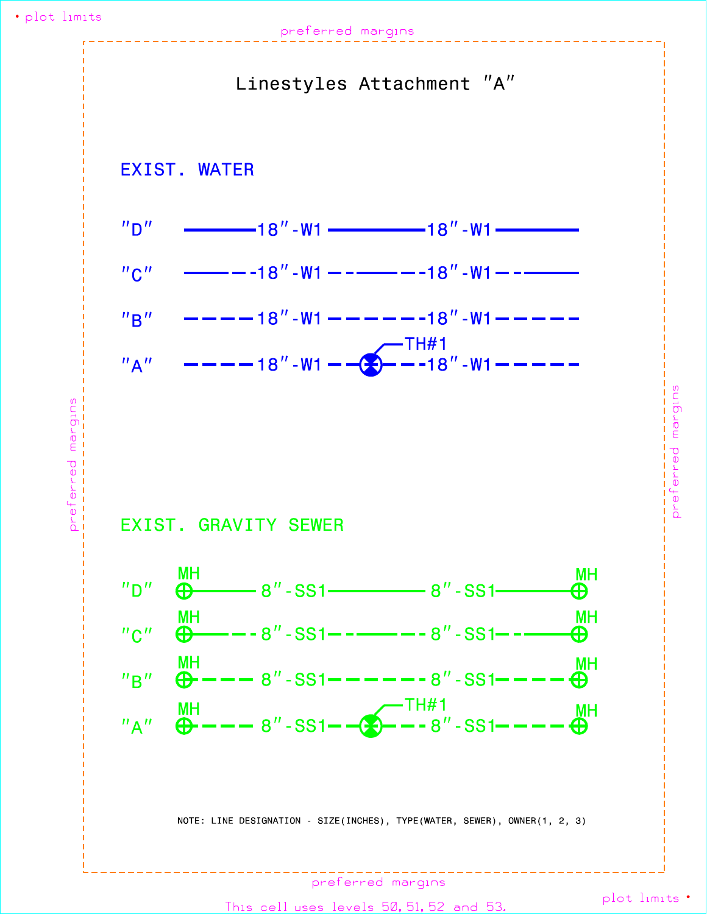## preferred margins